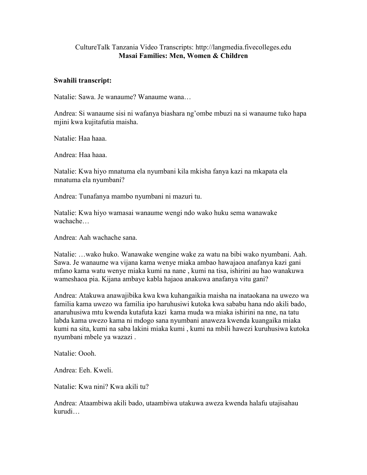## CultureTalk Tanzania Video Transcripts: http://langmedia.fivecolleges.edu Masai Families: Men, Women & Children

## Swahili transcript:

Natalie: Sawa. Je wanaume? Wanaume wana…

Andrea: Si wanaume sisi ni wafanya biashara ng'ombe mbuzi na si wanaume tuko hapa mjini kwa kujitafutia maisha.

Natalie: Haa haaa.

Andrea: Haa haaa.

Natalie: Kwa hiyo mnatuma ela nyumbani kila mkisha fanya kazi na mkapata ela mnatuma ela nyumbani?

Andrea: Tunafanya mambo nyumbani ni mazuri tu.

Natalie: Kwa hiyo wamasai wanaume wengi ndo wako huku sema wanawake wachache…

Andrea: Aah wachache sana.

Natalie: …wako huko. Wanawake wengine wake za watu na bibi wako nyumbani. Aah. Sawa. Je wanaume wa vijana kama wenye miaka ambao hawajaoa anafanya kazi gani mfano kama watu wenye miaka kumi na nane , kumi na tisa, ishirini au hao wanakuwa wameshaoa pia. Kijana ambaye kabla hajaoa anakuwa anafanya vitu gani?

Andrea: Atakuwa anawajibika kwa kwa kuhangaikia maisha na inataokana na uwezo wa familia kama uwezo wa familia ipo haruhusiwi kutoka kwa sababu hana ndo akili bado, anaruhusiwa mtu kwenda kutafuta kazi kama muda wa miaka ishirini na nne, na tatu labda kama uwezo kama ni mdogo sana nyumbani anaweza kwenda kuangaika miaka kumi na sita, kumi na saba lakini miaka kumi , kumi na mbili hawezi kuruhusiwa kutoka nyumbani mbele ya wazazi .

Natalie: Oooh.

Andrea: Eeh. Kweli.

Natalie: Kwa nini? Kwa akili tu?

Andrea: Ataambiwa akili bado, utaambiwa utakuwa aweza kwenda halafu utajisahau kurudi…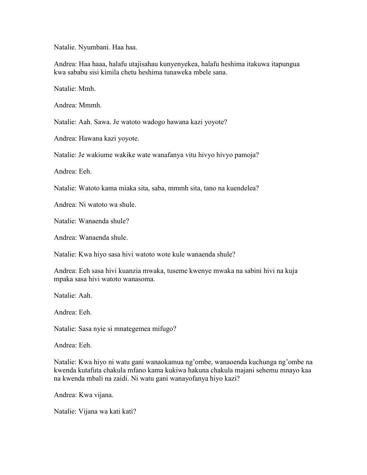Natalie. Nyumbani. Haa haa.

Andrea: Haa haaa, halafu utajisahau kunyenyekea, halafu heshima itakuwa itapungua kwa sababu sisi kimila chetu heshima tunaweka mbele sana.

Natalie: Mmh.

Andrea: Mmmh.

Natalie: Aah. Sawa. Je watoto wadogo hawana kazi yoyote?

Andrea: Hawana kazi yoyote.

Natalie: Je wakiume wakike wate wanafanya vitu hivyo hivyo pamoja?

Andrea: Eeh.

Natalie: Watoto kama miaka sita, saba, mmmh sita, tano na kuendelea?

Andrea: Ni watoto wa shule.

Natalie: Wanaenda shule?

Andrea: Wanaenda shule.

Natalie: Kwa hiyo sasa hivi watoto wote kule wanaenda shule?

Andrea: Eeh sasa hivi kuanzia mwaka, tuseme kwenye mwaka na sabini hivi na kuja mpaka sasa hivi watoto wanasoma.

Natalie: Aah.

Andrea: Eeh.

Natalie: Sasa nyie si mnategemea mifugo?

Andrea: Eeh.

Natalie: Kwa hiyo ni watu gani wanaokamua ng'ombe, wanaoenda kuchunga ng'ombe na kwenda kutafuta chakula mfano kama kukiwa hakuna chakula majani sehemu mnayo kaa na kwenda mbali na zaidi. Ni watu gani wanayofanya hiyo kazi?

Andrea: Kwa vijana.

Natalie: Vijana wa kati kati?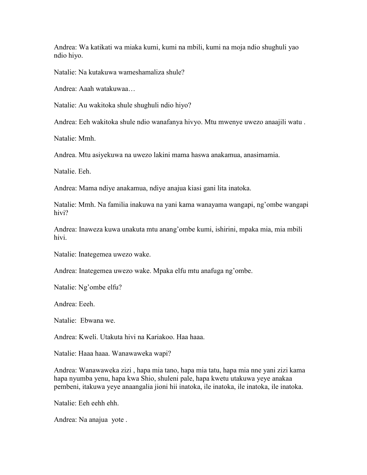Andrea: Wa katikati wa miaka kumi, kumi na mbili, kumi na moja ndio shughuli yao ndio hiyo.

Natalie: Na kutakuwa wameshamaliza shule?

Andrea: Aaah watakuwaa…

Natalie: Au wakitoka shule shughuli ndio hiyo?

Andrea: Eeh wakitoka shule ndio wanafanya hivyo. Mtu mwenye uwezo anaajili watu .

Natalie: Mmh.

Andrea. Mtu asiyekuwa na uwezo lakini mama haswa anakamua, anasimamia.

Natalie. Eeh.

Andrea: Mama ndiye anakamua, ndiye anajua kiasi gani lita inatoka.

Natalie: Mmh. Na familia inakuwa na yani kama wanayama wangapi, ng'ombe wangapi hivi?

Andrea: Inaweza kuwa unakuta mtu anang'ombe kumi, ishirini, mpaka mia, mia mbili hivi.

Natalie: Inategemea uwezo wake.

Andrea: Inategemea uwezo wake. Mpaka elfu mtu anafuga ng'ombe.

Natalie: Ng'ombe elfu?

Andrea: Eeeh.

Natalie: Ebwana we.

Andrea: Kweli. Utakuta hivi na Kariakoo. Haa haaa.

Natalie: Haaa haaa. Wanawaweka wapi?

Andrea: Wanawaweka zizi , hapa mia tano, hapa mia tatu, hapa mia nne yani zizi kama hapa nyumba yenu, hapa kwa Shio, shuleni pale, hapa kwetu utakuwa yeye anakaa pembeni, itakuwa yeye anaangalia jioni hii inatoka, ile inatoka, ile inatoka, ile inatoka.

Natalie: Eeh eehh ehh.

Andrea: Na anajua yote .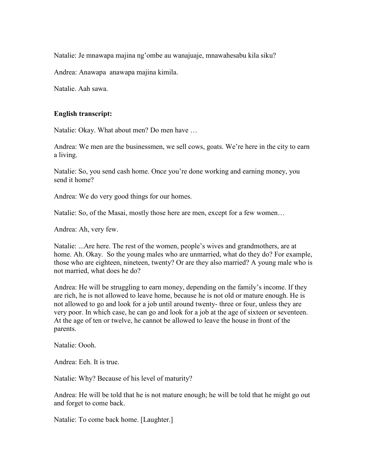Natalie: Je mnawapa majina ng'ombe au wanajuaje, mnawahesabu kila siku?

Andrea: Anawapa anawapa majina kimila.

Natalie. Aah sawa.

## English transcript:

Natalie: Okay. What about men? Do men have …

Andrea: We men are the businessmen, we sell cows, goats. We're here in the city to earn a living.

Natalie: So, you send cash home. Once you're done working and earning money, you send it home?

Andrea: We do very good things for our homes.

Natalie: So, of the Masai, mostly those here are men, except for a few women…

Andrea: Ah, very few.

Natalie: ...Are here. The rest of the women, people's wives and grandmothers, are at home. Ah. Okay. So the young males who are unmarried, what do they do? For example, those who are eighteen, nineteen, twenty? Or are they also married? A young male who is not married, what does he do?

Andrea: He will be struggling to earn money, depending on the family's income. If they are rich, he is not allowed to leave home, because he is not old or mature enough. He is not allowed to go and look for a job until around twenty- three or four, unless they are very poor. In which case, he can go and look for a job at the age of sixteen or seventeen. At the age of ten or twelve, he cannot be allowed to leave the house in front of the parents.

Natalie: Oooh.

Andrea: Eeh. It is true.

Natalie: Why? Because of his level of maturity?

Andrea: He will be told that he is not mature enough; he will be told that he might go out and forget to come back.

Natalie: To come back home. [Laughter.]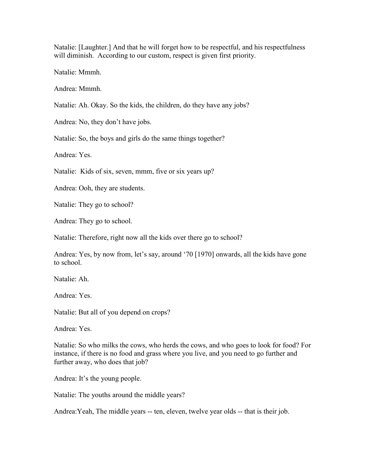Natalie: [Laughter.] And that he will forget how to be respectful, and his respectfulness will diminish. According to our custom, respect is given first priority.

Natalie: Mmmh.

Andrea: Mmmh.

Natalie: Ah. Okay. So the kids, the children, do they have any jobs?

Andrea: No, they don't have jobs.

Natalie: So, the boys and girls do the same things together?

Andrea: Yes.

Natalie: Kids of six, seven, mmm, five or six years up?

Andrea: Ooh, they are students.

Natalie: They go to school?

Andrea: They go to school.

Natalie: Therefore, right now all the kids over there go to school?

Andrea: Yes, by now from, let's say, around '70 [1970] onwards, all the kids have gone to school.

Natalie: Ah.

Andrea: Yes.

Natalie: But all of you depend on crops?

Andrea: Yes.

Natalie: So who milks the cows, who herds the cows, and who goes to look for food? For instance, if there is no food and grass where you live, and you need to go further and further away, who does that job?

Andrea: It's the young people.

Natalie: The youths around the middle years?

Andrea:Yeah, The middle years -- ten, eleven, twelve year olds -- that is their job.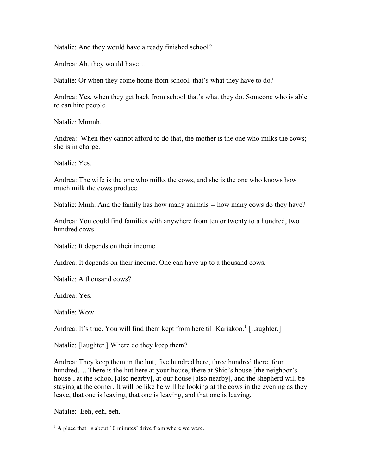Natalie: And they would have already finished school?

Andrea: Ah, they would have…

Natalie: Or when they come home from school, that's what they have to do?

Andrea: Yes, when they get back from school that's what they do. Someone who is able to can hire people.

Natalie: Mmmh.

Andrea: When they cannot afford to do that, the mother is the one who milks the cows; she is in charge.

Natalie: Yes.

Andrea: The wife is the one who milks the cows, and she is the one who knows how much milk the cows produce.

Natalie: Mmh. And the family has how many animals -- how many cows do they have?

Andrea: You could find families with anywhere from ten or twenty to a hundred, two hundred cows.

Natalie: It depends on their income.

Andrea: It depends on their income. One can have up to a thousand cows.

Natalie: A thousand cows?

Andrea: Yes.

Natalie: Wow.

Andrea: It's true. You will find them kept from here till Kariakoo.<sup>1</sup> [Laughter.]

Natalie: [laughter.] Where do they keep them?

Andrea: They keep them in the hut, five hundred here, three hundred there, four hundred…. There is the hut here at your house, there at Shio's house [the neighbor's house], at the school [also nearby], at our house [also nearby], and the shepherd will be staying at the corner. It will be like he will be looking at the cows in the evening as they leave, that one is leaving, that one is leaving, and that one is leaving.

Natalie: Eeh, eeh, eeh.

 $\overline{a}$  $<sup>1</sup>$  A place that is about 10 minutes' drive from where we were.</sup>